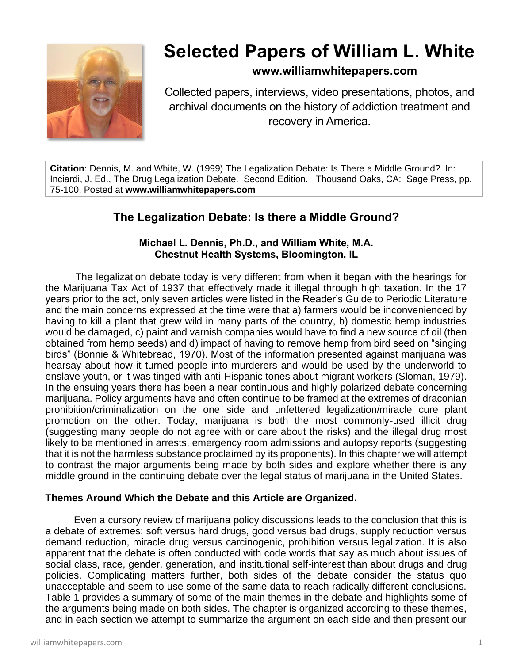

# **Selected Papers of William L. White**

### **www.williamwhitepapers.com**

Collected papers, interviews, video presentations, photos, and archival documents on the history of addiction treatment and recovery in America.

**Citation**: Dennis, M. and White, W. (1999) The Legalization Debate: Is There a Middle Ground? In: Inciardi, J. Ed., The Drug Legalization Debate. Second Edition. Thousand Oaks, CA: Sage Press, pp. 75-100. Posted at **www.williamwhitepapers.com**

## **The Legalization Debate: Is there a Middle Ground?**

#### **Michael L. Dennis, Ph.D., and William White, M.A. Chestnut Health Systems, Bloomington, IL**

The legalization debate today is very different from when it began with the hearings for the Marijuana Tax Act of 1937 that effectively made it illegal through high taxation. In the 17 years prior to the act, only seven articles were listed in the Reader's Guide to Periodic Literature and the main concerns expressed at the time were that a) farmers would be inconvenienced by having to kill a plant that grew wild in many parts of the country, b) domestic hemp industries would be damaged, c) paint and varnish companies would have to find a new source of oil (then obtained from hemp seeds) and d) impact of having to remove hemp from bird seed on "singing birds" (Bonnie & Whitebread, 1970). Most of the information presented against marijuana was hearsay about how it turned people into murderers and would be used by the underworld to enslave youth, or it was tinged with anti-Hispanic tones about migrant workers (Sloman, 1979). In the ensuing years there has been a near continuous and highly polarized debate concerning marijuana. Policy arguments have and often continue to be framed at the extremes of draconian prohibition/criminalization on the one side and unfettered legalization/miracle cure plant promotion on the other. Today, marijuana is both the most commonly-used illicit drug (suggesting many people do not agree with or care about the risks) and the illegal drug most likely to be mentioned in arrests, emergency room admissions and autopsy reports (suggesting that it is not the harmless substance proclaimed by its proponents). In this chapter we will attempt to contrast the major arguments being made by both sides and explore whether there is any middle ground in the continuing debate over the legal status of marijuana in the United States.

#### **Themes Around Which the Debate and this Article are Organized.**

Even a cursory review of marijuana policy discussions leads to the conclusion that this is a debate of extremes: soft versus hard drugs, good versus bad drugs, supply reduction versus demand reduction, miracle drug versus carcinogenic, prohibition versus legalization. It is also apparent that the debate is often conducted with code words that say as much about issues of social class, race, gender, generation, and institutional self-interest than about drugs and drug policies. Complicating matters further, both sides of the debate consider the status quo unacceptable and seem to use some of the same data to reach radically different conclusions. Table 1 provides a summary of some of the main themes in the debate and highlights some of the arguments being made on both sides. The chapter is organized according to these themes, and in each section we attempt to summarize the argument on each side and then present our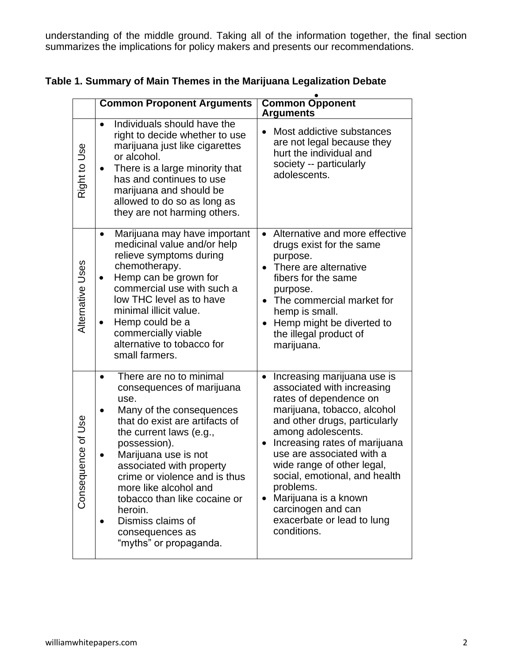understanding of the middle ground. Taking all of the information together, the final section summarizes the implications for policy makers and presents our recommendations.

**Table 1. Summary of Main Themes in the Marijuana Legalization Debate**

|                         | <b>Common Proponent Arguments</b>                                                                                                                                                                                                                                                                                                                                                                | <b>Common Opponent</b><br><b>Arguments</b>                                                                                                                                                                                                                                                                                                                                                                                                            |  |  |  |  |  |  |
|-------------------------|--------------------------------------------------------------------------------------------------------------------------------------------------------------------------------------------------------------------------------------------------------------------------------------------------------------------------------------------------------------------------------------------------|-------------------------------------------------------------------------------------------------------------------------------------------------------------------------------------------------------------------------------------------------------------------------------------------------------------------------------------------------------------------------------------------------------------------------------------------------------|--|--|--|--|--|--|
| Right to Use            | Individuals should have the<br>$\bullet$<br>right to decide whether to use<br>marijuana just like cigarettes<br>or alcohol.<br>There is a large minority that<br>$\bullet$<br>has and continues to use<br>marijuana and should be<br>allowed to do so as long as<br>they are not harming others.                                                                                                 | Most addictive substances<br>are not legal because they<br>hurt the individual and<br>society -- particularly<br>adolescents.                                                                                                                                                                                                                                                                                                                         |  |  |  |  |  |  |
| Alternative Uses        | Marijuana may have important<br>٠<br>medicinal value and/or help<br>relieve symptoms during<br>chemotherapy.<br>Hemp can be grown for<br>$\bullet$<br>commercial use with such a<br>low THC level as to have<br>minimal illicit value.<br>Hemp could be a<br>commercially viable<br>alternative to tobacco for<br>small farmers.                                                                 | Alternative and more effective<br>$\bullet$<br>drugs exist for the same<br>purpose.<br>There are alternative<br>$\bullet$<br>fibers for the same<br>purpose.<br>• The commercial market for<br>hemp is small.<br>Hemp might be diverted to<br>$\bullet$<br>the illegal product of<br>marijuana.                                                                                                                                                       |  |  |  |  |  |  |
| ence of Use<br>Conseque | There are no to minimal<br>consequences of marijuana<br>use.<br>Many of the consequences<br>that do exist are artifacts of<br>the current laws (e.g.,<br>possession).<br>Marijuana use is not<br>associated with property<br>crime or violence and is thus<br>more like alcohol and<br>tobacco than like cocaine or<br>heroin.<br>Dismiss claims of<br>consequences as<br>"myths" or propaganda. | Increasing marijuana use is<br>$\bullet$<br>associated with increasing<br>rates of dependence on<br>marijuana, tobacco, alcohol<br>and other drugs, particularly<br>among adolescents.<br>Increasing rates of marijuana<br>$\bullet$<br>use are associated with a<br>wide range of other legal,<br>social, emotional, and health<br>problems.<br>Marijuana is a known<br>$\bullet$<br>carcinogen and can<br>exacerbate or lead to lung<br>conditions. |  |  |  |  |  |  |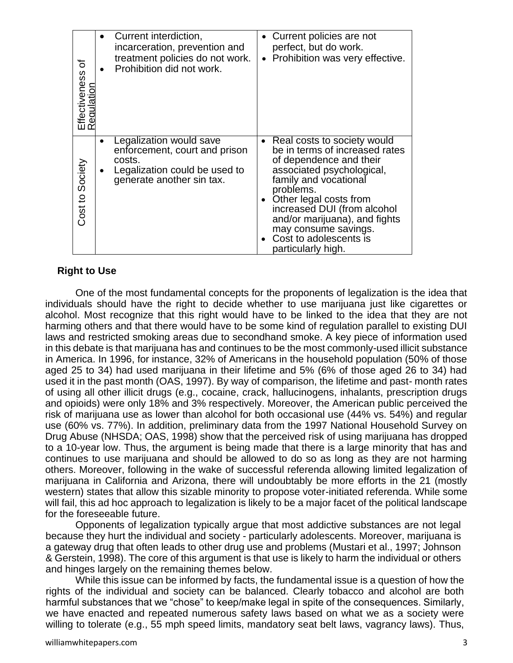| ৳<br>Effectiveness<br>Regulation | $\bullet$ | Current interdiction,<br>incarceration, prevention and<br>treatment policies do not work.<br>Prohibition did not work.           | Current policies are not<br>perfect, but do work.<br>• Prohibition was very effective.                                                                                                                                                                                                                                                       |
|----------------------------------|-----------|----------------------------------------------------------------------------------------------------------------------------------|----------------------------------------------------------------------------------------------------------------------------------------------------------------------------------------------------------------------------------------------------------------------------------------------------------------------------------------------|
| Cost to Society                  |           | Legalization would save<br>enforcement, court and prison<br>costs.<br>Legalization could be used to<br>generate another sin tax. | Real costs to society would<br>$\bullet$<br>be in terms of increased rates<br>of dependence and their<br>associated psychological,<br>family and vocational<br>problems.<br>• Other legal costs from<br>increased DUI (from alcohol<br>and/or marijuana), and fights<br>may consume savings.<br>Cost to adolescents is<br>particularly high. |

#### **Right to Use**

**EFFECTIVE IN THE CONSULTER THE SECTION AND THE CONSULTER THE SECTION AND THE SECTION CONSULTER THE SECTION CONSULTER THE SECTION AND THE SECTION CONSULTER THE SECTION AND THE SECTION CONSULTER THE SECTION CONSULTER THE** One of the most fundamental concepts for the proponents of legalization is the idea that individuals should have the right to decide whether to use marijuana just like cigarettes or alcohol. Most recognize that this right would have to be linked to the idea that they are not harming others and that there would have to be some kind of regulation parallel to existing DUI laws and restricted smoking areas due to secondhand smoke. A key piece of information used in this debate is that marijuana has and continues to be the most commonly-used illicit substance in America. In 1996, for instance, 32% of Americans in the household population (50% of those aged 25 to 34) had used marijuana in their lifetime and 5% (6% of those aged 26 to 34) had used it in the past month (OAS, 1997). By way of comparison, the lifetime and past- month rates of using all other illicit drugs (e.g., cocaine, crack, hallucinogens, inhalants, prescription drugs and opioids) were only 18% and 3% respectively. Moreover, the American public perceived the risk of marijuana use as lower than alcohol for both occasional use (44% vs. 54%) and regular use (60% vs. 77%). In addition, preliminary data from the 1997 National Household Survey on Drug Abuse (NHSDA; OAS, 1998) show that the perceived risk of using marijuana has dropped to a 10-year low. Thus, the argument is being made that there is a large minority that has and continues to use marijuana and should be allowed to do so as long as they are not harming others. Moreover, following in the wake of successful referenda allowing limited legalization of marijuana in California and Arizona, there will undoubtably be more efforts in the 21 (mostly western) states that allow this sizable minority to propose voter-initiated referenda. While some will fail, this ad hoc approach to legalization is likely to be a major facet of the political landscape for the foreseeable future.

Opponents of legalization typically argue that most addictive substances are not legal because they hurt the individual and society - particularly adolescents. Moreover, marijuana is a gateway drug that often leads to other drug use and problems (Mustari et al., 1997; Johnson & Gerstein, 1998). The core of this argument is that use is likely to harm the individual or others and hinges largely on the remaining themes below.

While this issue can be informed by facts, the fundamental issue is a question of how the rights of the individual and society can be balanced. Clearly tobacco and alcohol are both harmful substances that we "chose" to keep/make legal in spite of the consequences. Similarly, we have enacted and repeated numerous safety laws based on what we as a society were willing to tolerate (e.g., 55 mph speed limits, mandatory seat belt laws, vagrancy laws). Thus,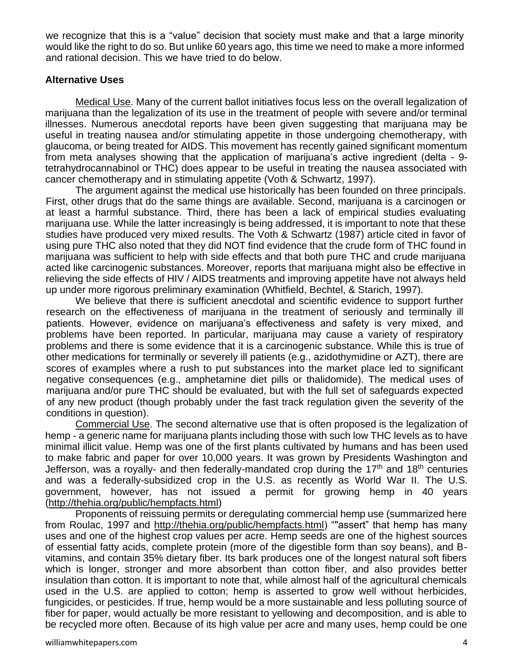we recognize that this is a "value" decision that society must make and that a large minority would like the right to do so. But unlike 60 years ago, this time we need to make a more informed and rational decision. This we have tried to do below.

#### **Alternative Uses**

Medical Use. Many of the current ballot initiatives focus less on the overall legalization of marijuana than the legalization of its use in the treatment of people with severe and/or terminal illnesses. Numerous anecdotal reports have been given suggesting that marijuana may be useful in treating nausea and/or stimulating appetite in those undergoing chemotherapy, with glaucoma, or being treated for AIDS. This movement has recently gained significant momentum from meta analyses showing that the application of marijuana's active ingredient (delta - 9 tetrahydrocannabinol or THC) does appear to be useful in treating the nausea associated with cancer chemotherapy and in stimulating appetite (Voth & Schwartz, 1997).

The argument against the medical use historically has been founded on three principals. First, other drugs that do the same things are available. Second, marijuana is a carcinogen or at least a harmful substance. Third, there has been a lack of empirical studies evaluating marijuana use. While the latter increasingly is being addressed, it is important to note that these studies have produced very mixed results. The Voth & Schwartz (1987) article cited in favor of using pure THC also noted that they did NOT find evidence that the crude form of THC found in marijuana was sufficient to help with side effects and that both pure THC and crude marijuana acted like carcinogenic substances. Moreover, reports that marijuana might also be effective in relieving the side effects of HIV / AIDS treatments and improving appetite have not always held up under more rigorous preliminary examination (Whitfield, Bechtel, & Starich, 1997).

We believe that there is sufficient anecdotal and scientific evidence to support further research on the effectiveness of marijuana in the treatment of seriously and terminally ill patients. However, evidence on marijuana's effectiveness and safety is very mixed, and problems have been reported. In particular, marijuana may cause a variety of respiratory problems and there is some evidence that it is a carcinogenic substance. While this is true of other medications for terminally or severely ill patients (e.g., azidothymidine or AZT), there are scores of examples where a rush to put substances into the market place led to significant negative consequences (e.g., amphetamine diet pills or thalidomide). The medical uses of marijuana and/or pure THC should be evaluated, but with the full set of safeguards expected of any new product (though probably under the fast track regulation given the severity of the conditions in question).

Commercial Use. The second alternative use that is often proposed is the legalization of hemp - a generic name for marijuana plants including those with such low THC levels as to have minimal illicit value. Hemp was one of the first plants cultivated by humans and has been used to make fabric and paper for over 10,000 years. It was grown by Presidents Washington and Jefferson, was a royally- and then federally-mandated crop during the  $17<sup>th</sup>$  and  $18<sup>th</sup>$  centuries and was a federally-subsidized crop in the U.S. as recently as World War II. The U.S. government, however, has not issued a permit for growing hemp in 40 years (http://thehia.org/public/hempfacts.html)

Proponents of reissuing permits or deregulating commercial hemp use (summarized here from Roulac, 1997 and http://thehia.org/public/hempfacts.html) ""assert" that hemp has many uses and one of the highest crop values per acre. Hemp seeds are one of the highest sources of essential fatty acids, complete protein (more of the digestible form than soy beans), and Bvitamins, and contain 35% dietary fiber. Its bark produces one of the longest natural soft fibers which is longer, stronger and more absorbent than cotton fiber, and also provides better insulation than cotton. It is important to note that, while almost half of the agricultural chemicals used in the U.S. are applied to cotton; hemp is asserted to grow well without herbicides, fungicides, or pesticides. If true, hemp would be a more sustainable and less polluting source of fiber for paper, would actually be more resistant to yellowing and decomposition, and is able to be recycled more often. Because of its high value per acre and many uses, hemp could be one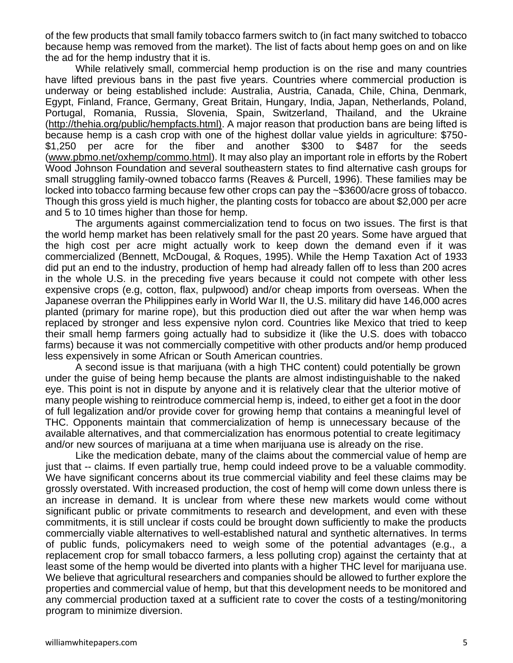of the few products that small family tobacco farmers switch to (in fact many switched to tobacco because hemp was removed from the market). The list of facts about hemp goes on and on like the ad for the hemp industry that it is.

While relatively small, commercial hemp production is on the rise and many countries have lifted previous bans in the past five years. Countries where commercial production is underway or being established include: Australia, Austria, Canada, Chile, China, Denmark, Egypt, Finland, France, Germany, Great Britain, Hungary, India, Japan, Netherlands, Poland, Portugal, Romania, Russia, Slovenia, Spain, Switzerland, Thailand, and the Ukraine (http://thehia.org/public/hempfacts.html). A major reason that production bans are being lifted is because hemp is a cash crop with one of the highest dollar value yields in agriculture: \$750- \$1,250 per acre for the fiber and another \$300 to \$487 for the seeds (www.pbmo.net/oxhemp/commo.html). It may also play an important role in efforts by the Robert Wood Johnson Foundation and several southeastern states to find alternative cash groups for small struggling family-owned tobacco farms (Reaves & Purcell, 1996). These families may be locked into tobacco farming because few other crops can pay the ~\$3600/acre gross of tobacco. Though this gross yield is much higher, the planting costs for tobacco are about \$2,000 per acre and 5 to 10 times higher than those for hemp.

The arguments against commercialization tend to focus on two issues. The first is that the world hemp market has been relatively small for the past 20 years. Some have argued that the high cost per acre might actually work to keep down the demand even if it was commercialized (Bennett, McDougal, & Roques, 1995). While the Hemp Taxation Act of 1933 did put an end to the industry, production of hemp had already fallen off to less than 200 acres in the whole U.S. in the preceding five years because it could not compete with other less expensive crops (e.g, cotton, flax, pulpwood) and/or cheap imports from overseas. When the Japanese overran the Philippines early in World War II, the U.S. military did have 146,000 acres planted (primary for marine rope), but this production died out after the war when hemp was replaced by stronger and less expensive nylon cord. Countries like Mexico that tried to keep their small hemp farmers going actually had to subsidize it (like the U.S. does with tobacco farms) because it was not commercially competitive with other products and/or hemp produced less expensively in some African or South American countries.

A second issue is that marijuana (with a high THC content) could potentially be grown under the guise of being hemp because the plants are almost indistinguishable to the naked eye. This point is not in dispute by anyone and it is relatively clear that the ulterior motive of many people wishing to reintroduce commercial hemp is, indeed, to either get a foot in the door of full legalization and/or provide cover for growing hemp that contains a meaningful level of THC. Opponents maintain that commercialization of hemp is unnecessary because of the available alternatives, and that commercialization has enormous potential to create legitimacy and/or new sources of marijuana at a time when marijuana use is already on the rise.

Like the medication debate, many of the claims about the commercial value of hemp are just that -- claims. If even partially true, hemp could indeed prove to be a valuable commodity. We have significant concerns about its true commercial viability and feel these claims may be grossly overstated. With increased production, the cost of hemp will come down unless there is an increase in demand. It is unclear from where these new markets would come without significant public or private commitments to research and development, and even with these commitments, it is still unclear if costs could be brought down sufficiently to make the products commercially viable alternatives to well-established natural and synthetic alternatives. In terms of public funds, policymakers need to weigh some of the potential advantages (e.g., a replacement crop for small tobacco farmers, a less polluting crop) against the certainty that at least some of the hemp would be diverted into plants with a higher THC level for marijuana use. We believe that agricultural researchers and companies should be allowed to further explore the properties and commercial value of hemp, but that this development needs to be monitored and any commercial production taxed at a sufficient rate to cover the costs of a testing/monitoring program to minimize diversion.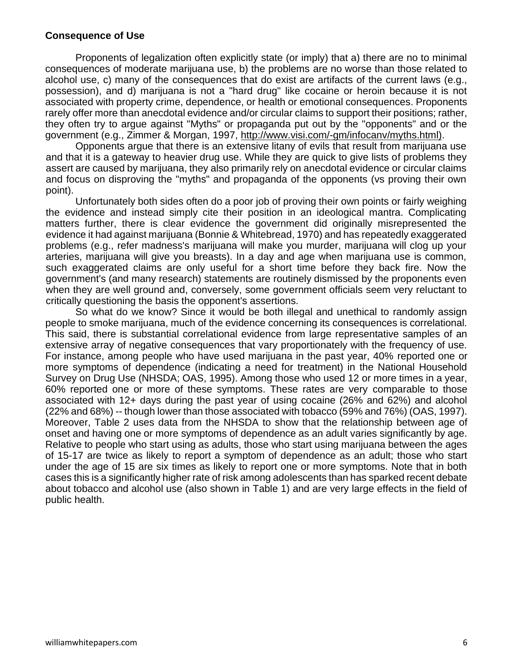#### **Consequence of Use**

Proponents of legalization often explicitly state (or imply) that a) there are no to minimal consequences of moderate marijuana use, b) the problems are no worse than those related to alcohol use, c) many of the consequences that do exist are artifacts of the current laws (e.g., possession), and d) marijuana is not a "hard drug" like cocaine or heroin because it is not associated with property crime, dependence, or health or emotional consequences. Proponents rarely offer more than anecdotal evidence and/or circular claims to support their positions; rather, they often try to argue against "Myths" or propaganda put out by the "opponents" and or the government (e.g., Zimmer & Morgan, 1997, http://www.visi.com/-gm/infocanv/myths.html).

Opponents argue that there is an extensive litany of evils that result from marijuana use and that it is a gateway to heavier drug use. While they are quick to give lists of problems they assert are caused by marijuana, they also primarily rely on anecdotal evidence or circular claims and focus on disproving the "myths" and propaganda of the opponents (vs proving their own point).

Unfortunately both sides often do a poor job of proving their own points or fairly weighing the evidence and instead simply cite their position in an ideological mantra. Complicating matters further, there is clear evidence the government did originally misrepresented the evidence it had against marijuana (Bonnie & Whitebread, 1970) and has repeatedly exaggerated problems (e.g., refer madness's marijuana will make you murder, marijuana will clog up your arteries, marijuana will give you breasts). In a day and age when marijuana use is common, such exaggerated claims are only useful for a short time before they back fire. Now the government's (and many research) statements are routinely dismissed by the proponents even when they are well ground and, conversely, some government officials seem very reluctant to critically questioning the basis the opponent's assertions.

So what do we know? Since it would be both illegal and unethical to randomly assign people to smoke marijuana, much of the evidence concerning its consequences is correlational. This said, there is substantial correlational evidence from large representative samples of an extensive array of negative consequences that vary proportionately with the frequency of use. For instance, among people who have used marijuana in the past year, 40% reported one or more symptoms of dependence (indicating a need for treatment) in the National Household Survey on Drug Use (NHSDA; OAS, 1995). Among those who used 12 or more times in a year, 60% reported one or more of these symptoms. These rates are very comparable to those associated with 12+ days during the past year of using cocaine (26% and 62%) and alcohol (22% and 68%) -- though lower than those associated with tobacco (59% and 76%) (OAS, 1997). Moreover, Table 2 uses data from the NHSDA to show that the relationship between age of onset and having one or more symptoms of dependence as an adult varies significantly by age. Relative to people who start using as adults, those who start using marijuana between the ages of 15-17 are twice as likely to report a symptom of dependence as an adult; those who start under the age of 15 are six times as likely to report one or more symptoms. Note that in both cases this is a significantly higher rate of risk among adolescents than has sparked recent debate about tobacco and alcohol use (also shown in Table 1) and are very large effects in the field of public health.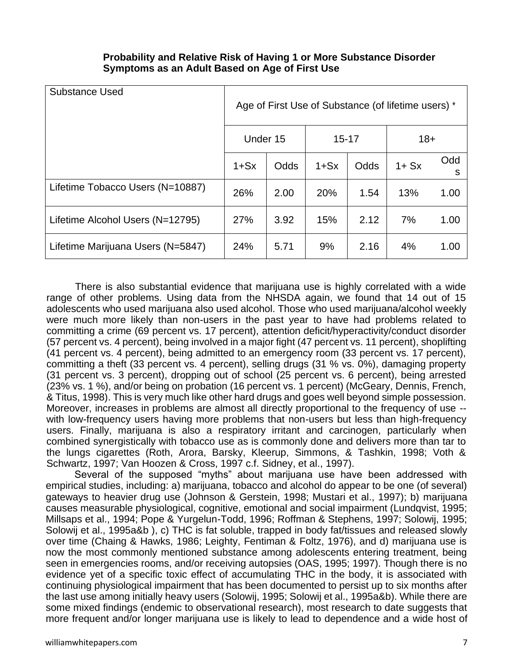| <b>Substance Used</b>             | Age of First Use of Substance (of lifetime users) * |      |           |      |          |          |  |  |
|-----------------------------------|-----------------------------------------------------|------|-----------|------|----------|----------|--|--|
|                                   | Under 15                                            |      | $15 - 17$ |      | $18+$    |          |  |  |
|                                   | $1 + Sx$                                            | Odds | $1+Sx$    | Odds | $1 + Sx$ | Odd<br>S |  |  |
| Lifetime Tobacco Users (N=10887)  | 26%                                                 | 2.00 | 20%       | 1.54 | 13%      | 1.00     |  |  |
| Lifetime Alcohol Users (N=12795)  | 27%                                                 | 3.92 | 15%       | 2.12 | 7%       | 1.00     |  |  |
| Lifetime Marijuana Users (N=5847) | 24%                                                 | 5.71 | 9%        | 2.16 | 4%       | 1.00     |  |  |

#### **Probability and Relative Risk of Having 1 or More Substance Disorder Symptoms as an Adult Based on Age of First Use**

There is also substantial evidence that marijuana use is highly correlated with a wide range of other problems. Using data from the NHSDA again, we found that 14 out of 15 adolescents who used marijuana also used alcohol. Those who used marijuana/alcohol weekly were much more likely than non-users in the past year to have had problems related to committing a crime (69 percent vs. 17 percent), attention deficit/hyperactivity/conduct disorder (57 percent vs. 4 percent), being involved in a major fight (47 percent vs. 11 percent), shoplifting (41 percent vs. 4 percent), being admitted to an emergency room (33 percent vs. 17 percent), committing a theft (33 percent vs. 4 percent), selling drugs (31 % vs. 0%), damaging property (31 percent vs. 3 percent), dropping out of school (25 percent vs. 6 percent), being arrested (23% vs. 1 %), and/or being on probation (16 percent vs. 1 percent) (McGeary, Dennis, French, & Titus, 1998). This is very much like other hard drugs and goes well beyond simple possession. Moreover, increases in problems are almost all directly proportional to the frequency of use - with low-frequency users having more problems that non-users but less than high-frequency users. Finally, marijuana is also a respiratory irritant and carcinogen, particularly when combined synergistically with tobacco use as is commonly done and delivers more than tar to the lungs cigarettes (Roth, Arora, Barsky, Kleerup, Simmons, & Tashkin, 1998; Voth & Schwartz, 1997; Van Hoozen & Cross, 1997 c.f. Sidney, et al., 1997).

Several of the supposed "myths" about marijuana use have been addressed with empirical studies, including: a) marijuana, tobacco and alcohol do appear to be one (of several) gateways to heavier drug use (Johnson & Gerstein, 1998; Mustari et al., 1997); b) marijuana causes measurable physiological, cognitive, emotional and social impairment (Lundqvist, 1995; Millsaps et al., 1994; Pope & Yurgelun-Todd, 1996; Roffman & Stephens, 1997; Solowij, 1995; Solowij et al., 1995a&b ), c) THC is fat soluble, trapped in body fat/tissues and released slowly over time (Chaing & Hawks, 1986; Leighty, Fentiman & Foltz, 1976), and d) marijuana use is now the most commonly mentioned substance among adolescents entering treatment, being seen in emergencies rooms, and/or receiving autopsies (OAS, 1995; 1997). Though there is no evidence yet of a specific toxic effect of accumulating THC in the body, it is associated with continuing physiological impairment that has been documented to persist up to six months after the last use among initially heavy users (Solowij, 1995; Solowij et al., 1995a&b). While there are some mixed findings (endemic to observational research), most research to date suggests that more frequent and/or longer marijuana use is likely to lead to dependence and a wide host of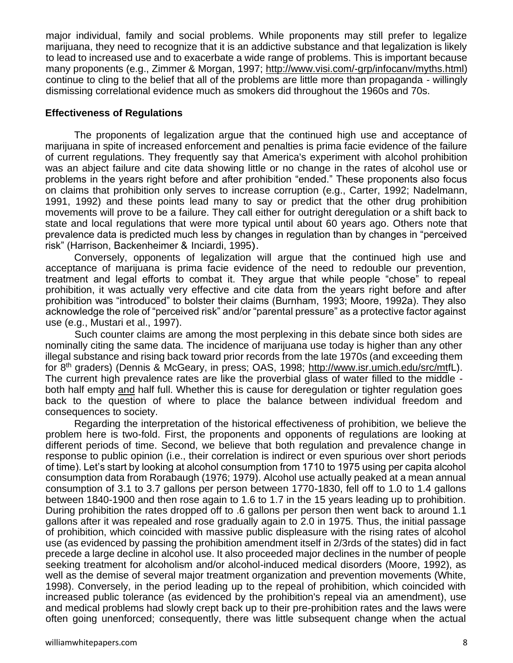major individual, family and social problems. While proponents may still prefer to legalize marijuana, they need to recognize that it is an addictive substance and that legalization is likely to lead to increased use and to exacerbate a wide range of problems. This is important because many proponents (e.g., Zimmer & Morgan, 1997; http://www.visi.com/-grp/infocanv/myths.html) continue to cling to the belief that all of the problems are little more than propaganda - willingly dismissing correlational evidence much as smokers did throughout the 1960s and 70s.

#### **Effectiveness of Regulations**

The proponents of legalization argue that the continued high use and acceptance of marijuana in spite of increased enforcement and penalties is prima facie evidence of the failure of current regulations. They frequently say that America's experiment with alcohol prohibition was an abject failure and cite data showing little or no change in the rates of alcohol use or problems in the years right before and after prohibition "ended." These proponents also focus on claims that prohibition only serves to increase corruption (e.g., Carter, 1992; Nadelmann, 1991, 1992) and these points lead many to say or predict that the other drug prohibition movements will prove to be a failure. They call either for outright deregulation or a shift back to state and local regulations that were more typical until about 60 years ago. Others note that prevalence data is predicted much less by changes in regulation than by changes in "perceived risk" (Harrison, Backenheimer & Inciardi, 1995).

Conversely, opponents of legalization will argue that the continued high use and acceptance of marijuana is prima facie evidence of the need to redouble our prevention, treatment and legal efforts to combat it. They argue that while people "chose" to repeal prohibition, it was actually very effective and cite data from the years right before and after prohibition was "introduced" to bolster their claims (Burnham, 1993; Moore, 1992a). They also acknowledge the role of "perceived risk" and/or "parental pressure" as a protective factor against use (e.g., Mustari et al., 1997).

Such counter claims are among the most perplexing in this debate since both sides are nominally citing the same data. The incidence of marijuana use today is higher than any other illegal substance and rising back toward prior records from the late 1970s (and exceeding them for 8th graders) (Dennis & McGeary, in press; OAS, 1998; http://www.isr.umich.edu/src/mtfL). The current high prevalence rates are like the proverbial glass of water filled to the middle both half empty and half full. Whether this is cause for deregulation or tighter regulation goes back to the question of where to place the balance between individual freedom and consequences to society.

Regarding the interpretation of the historical effectiveness of prohibition, we believe the problem here is two-fold. First, the proponents and opponents of regulations are looking at different periods of time. Second, we believe that both regulation and prevalence change in response to public opinion (i.e., their correlation is indirect or even spurious over short periods of time). Let's start by looking at alcohol consumption from 1710 to 1975 using per capita alcohol consumption data from Rorabaugh (1976; 1979). Alcohol use actually peaked at a mean annual consumption of 3.1 to 3.7 gallons per person between 1770-1830, fell off to 1.0 to 1.4 gallons between 1840-1900 and then rose again to 1.6 to 1.7 in the 15 years leading up to prohibition. During prohibition the rates dropped off to .6 gallons per person then went back to around 1.1 gallons after it was repealed and rose gradually again to 2.0 in 1975. Thus, the initial passage of prohibition, which coincided with massive public displeasure with the rising rates of alcohol use (as evidenced by passing the prohibition amendment itself in 2/3rds of the states) did in fact precede a large decline in alcohol use. It also proceeded major declines in the number of people seeking treatment for alcoholism and/or alcohol-induced medical disorders (Moore, 1992), as well as the demise of several major treatment organization and prevention movements (White, 1998). Conversely, in the period leading up to the repeal of prohibition, which coincided with increased public tolerance (as evidenced by the prohibition's repeal via an amendment), use and medical problems had slowly crept back up to their pre-prohibition rates and the laws were often going unenforced; consequently, there was little subsequent change when the actual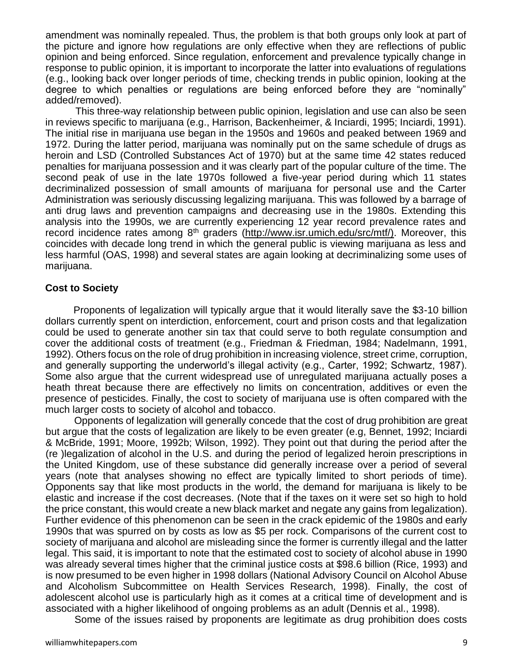amendment was nominally repealed. Thus, the problem is that both groups only look at part of the picture and ignore how regulations are only effective when they are reflections of public opinion and being enforced. Since regulation, enforcement and prevalence typically change in response to public opinion, it is important to incorporate the latter into evaluations of regulations (e.g., looking back over longer periods of time, checking trends in public opinion, looking at the degree to which penalties or regulations are being enforced before they are "nominally" added/removed).

This three-way relationship between public opinion, legislation and use can also be seen in reviews specific to marijuana (e.g., Harrison, Backenheimer, & Inciardi, 1995; Inciardi, 1991). The initial rise in marijuana use began in the 1950s and 1960s and peaked between 1969 and 1972. During the latter period, marijuana was nominally put on the same schedule of drugs as heroin and LSD (Controlled Substances Act of 1970) but at the same time 42 states reduced penalties for marijuana possession and it was clearly part of the popular culture of the time. The second peak of use in the late 1970s followed a five-year period during which 11 states decriminalized possession of small amounts of marijuana for personal use and the Carter Administration was seriously discussing legalizing marijuana. This was followed by a barrage of anti drug laws and prevention campaigns and decreasing use in the 1980s. Extending this analysis into the 1990s, we are currently experiencing 12 year record prevalence rates and record incidence rates among 8<sup>th</sup> graders (http://www.isr.umich.edu/src/mtf/). Moreover, this coincides with decade long trend in which the general public is viewing marijuana as less and less harmful (OAS, 1998) and several states are again looking at decriminalizing some uses of marijuana.

#### **Cost to Society**

Proponents of legalization will typically argue that it would literally save the \$3-10 billion dollars currently spent on interdiction, enforcement, court and prison costs and that legalization could be used to generate another sin tax that could serve to both regulate consumption and cover the additional costs of treatment (e.g., Friedman & Friedman, 1984; Nadelmann, 1991, 1992). Others focus on the role of drug prohibition in increasing violence, street crime, corruption, and generally supporting the underworld's illegal activity (e.g., Carter, 1992; Schwartz, 1987). Some also argue that the current widespread use of unregulated marijuana actually poses a heath threat because there are effectively no limits on concentration, additives or even the presence of pesticides. Finally, the cost to society of marijuana use is often compared with the much larger costs to society of alcohol and tobacco.

Opponents of legalization will generally concede that the cost of drug prohibition are great but argue that the costs of legalization are likely to be even greater (e.g, Bennet, 1992; Inciardi & McBride, 1991; Moore, 1992b; Wilson, 1992). They point out that during the period after the (re )legalization of alcohol in the U.S. and during the period of legalized heroin prescriptions in the United Kingdom, use of these substance did generally increase over a period of several years (note that analyses showing no effect are typically limited to short periods of time). Opponents say that like most products in the world, the demand for marijuana is likely to be elastic and increase if the cost decreases. (Note that if the taxes on it were set so high to hold the price constant, this would create a new black market and negate any gains from legalization). Further evidence of this phenomenon can be seen in the crack epidemic of the 1980s and early 1990s that was spurred on by costs as low as \$5 per rock. Comparisons of the current cost to society of marijuana and alcohol are misleading since the former is currently illegal and the latter legal. This said, it is important to note that the estimated cost to society of alcohol abuse in 1990 was already several times higher that the criminal justice costs at \$98.6 billion (Rice, 1993) and is now presumed to be even higher in 1998 dollars (National Advisory Council on Alcohol Abuse and Alcoholism Subcommittee on Health Services Research, 1998). Finally, the cost of adolescent alcohol use is particularly high as it comes at a critical time of development and is associated with a higher likelihood of ongoing problems as an adult (Dennis et al., 1998).

Some of the issues raised by proponents are legitimate as drug prohibition does costs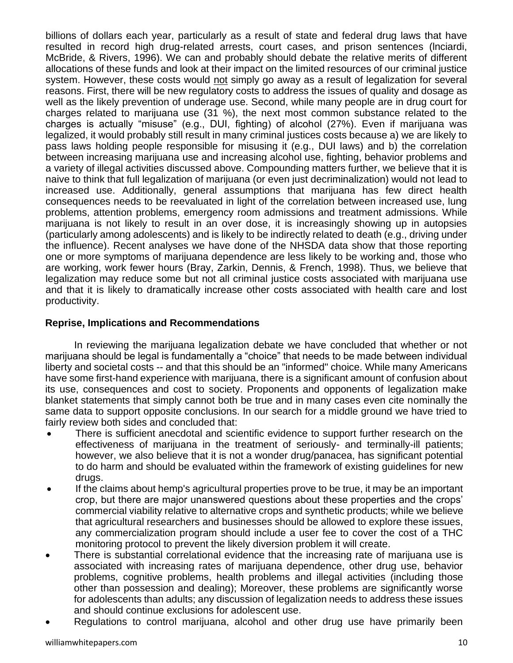billions of dollars each year, particularly as a result of state and federal drug laws that have resulted in record high drug-related arrests, court cases, and prison sentences (lnciardi, McBride, & Rivers, 1996). We can and probably should debate the relative merits of different allocations of these funds and look at their impact on the limited resources of our criminal justice system. However, these costs would not simply go away as a result of legalization for several reasons. First, there will be new regulatory costs to address the issues of quality and dosage as well as the likely prevention of underage use. Second, while many people are in drug court for charges related to marijuana use (31 %), the next most common substance related to the charges is actually "misuse" (e.g., DUI, fighting) of alcohol (27%). Even if marijuana was legalized, it would probably still result in many criminal justices costs because a) we are likely to pass laws holding people responsible for misusing it (e.g., DUI laws) and b) the correlation between increasing marijuana use and increasing alcohol use, fighting, behavior problems and a variety of illegal activities discussed above. Compounding matters further, we believe that it is naive to think that full legalization of marijuana (or even just decriminalization) would not lead to increased use. Additionally, general assumptions that marijuana has few direct health consequences needs to be reevaluated in light of the correlation between increased use, lung problems, attention problems, emergency room admissions and treatment admissions. While marijuana is not likely to result in an over dose, it is increasingly showing up in autopsies (particularly among adolescents) and is likely to be indirectly related to death (e.g., driving under the influence). Recent analyses we have done of the NHSDA data show that those reporting one or more symptoms of marijuana dependence are less likely to be working and, those who are working, work fewer hours (Bray, Zarkin, Dennis, & French, 1998). Thus, we believe that legalization may reduce some but not all criminal justice costs associated with marijuana use and that it is likely to dramatically increase other costs associated with health care and lost productivity.

#### **Reprise, Implications and Recommendations**

In reviewing the marijuana legalization debate we have concluded that whether or not marijuana should be legal is fundamentally a "choice" that needs to be made between individual liberty and societal costs -- and that this should be an "informed" choice. While many Americans have some first-hand experience with marijuana, there is a significant amount of confusion about its use, consequences and cost to society. Proponents and opponents of legalization make blanket statements that simply cannot both be true and in many cases even cite nominally the same data to support opposite conclusions. In our search for a middle ground we have tried to fairly review both sides and concluded that:

- There is sufficient anecdotal and scientific evidence to support further research on the effectiveness of marijuana in the treatment of seriously- and terminally-ill patients; however, we also believe that it is not a wonder drug/panacea, has significant potential to do harm and should be evaluated within the framework of existing guidelines for new drugs.
- If the claims about hemp's agricultural properties prove to be true, it may be an important crop, but there are major unanswered questions about these properties and the crops' commercial viability relative to alternative crops and synthetic products; while we believe that agricultural researchers and businesses should be allowed to explore these issues, any commercialization program should include a user fee to cover the cost of a THC monitoring protocol to prevent the likely diversion problem it will create.
- There is substantial correlational evidence that the increasing rate of marijuana use is associated with increasing rates of marijuana dependence, other drug use, behavior problems, cognitive problems, health problems and illegal activities (including those other than possession and dealing); Moreover, these problems are significantly worse for adolescents than adults; any discussion of legalization needs to address these issues and should continue exclusions for adolescent use.
- Regulations to control marijuana, alcohol and other drug use have primarily been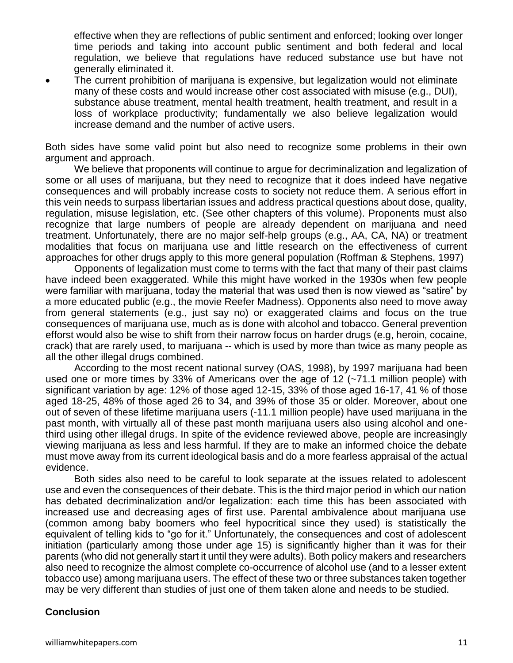effective when they are reflections of public sentiment and enforced; looking over longer time periods and taking into account public sentiment and both federal and local regulation, we believe that regulations have reduced substance use but have not generally eliminated it.

The current prohibition of marijuana is expensive, but legalization would not eliminate many of these costs and would increase other cost associated with misuse (e.g., DUI), substance abuse treatment, mental health treatment, health treatment, and result in a loss of workplace productivity; fundamentally we also believe legalization would increase demand and the number of active users.

Both sides have some valid point but also need to recognize some problems in their own argument and approach.

We believe that proponents will continue to argue for decriminalization and legalization of some or all uses of marijuana, but they need to recognize that it does indeed have negative consequences and will probably increase costs to society not reduce them. A serious effort in this vein needs to surpass libertarian issues and address practical questions about dose, quality, regulation, misuse legislation, etc. (See other chapters of this volume). Proponents must also recognize that large numbers of people are already dependent on marijuana and need treatment. Unfortunately, there are no major self-help groups (e.g., AA, CA, NA) or treatment modalities that focus on marijuana use and little research on the effectiveness of current approaches for other drugs apply to this more general population (Roffman & Stephens, 1997)

Opponents of legalization must come to terms with the fact that many of their past claims have indeed been exaggerated. While this might have worked in the 1930s when few people were familiar with marijuana, today the material that was used then is now viewed as "satire" by a more educated public (e.g., the movie Reefer Madness). Opponents also need to move away from general statements (e.g., just say no) or exaggerated claims and focus on the true consequences of marijuana use, much as is done with alcohol and tobacco. General prevention efforst would also be wise to shift from their narrow focus on harder drugs (e.g, heroin, cocaine, crack) that are rarely used, to marijuana -- which is used by more than twice as many people as all the other illegal drugs combined.

According to the most recent national survey (OAS, 1998), by 1997 marijuana had been used one or more times by 33% of Americans over the age of 12 (~71.1 million people) with significant variation by age: 12% of those aged 12-15, 33% of those aged 16-17, 41 % of those aged 18-25, 48% of those aged 26 to 34, and 39% of those 35 or older. Moreover, about one out of seven of these lifetime marijuana users (-11.1 million people) have used marijuana in the past month, with virtually all of these past month marijuana users also using alcohol and onethird using other illegal drugs. In spite of the evidence reviewed above, people are increasingly viewing marijuana as less and less harmful. If they are to make an informed choice the debate must move away from its current ideological basis and do a more fearless appraisal of the actual evidence.

Both sides also need to be careful to look separate at the issues related to adolescent use and even the consequences of their debate. This is the third major period in which our nation has debated decriminalization and/or legalization: each time this has been associated with increased use and decreasing ages of first use. Parental ambivalence about marijuana use (common among baby boomers who feel hypocritical since they used) is statistically the equivalent of telling kids to "go for it." Unfortunately, the consequences and cost of adolescent initiation (particularly among those under age 15) is significantly higher than it was for their parents (who did not generally start it until they were adults). Both policy makers and researchers also need to recognize the almost complete co-occurrence of alcohol use (and to a lesser extent tobacco use) among marijuana users. The effect of these two or three substances taken together may be very different than studies of just one of them taken alone and needs to be studied.

#### **Conclusion**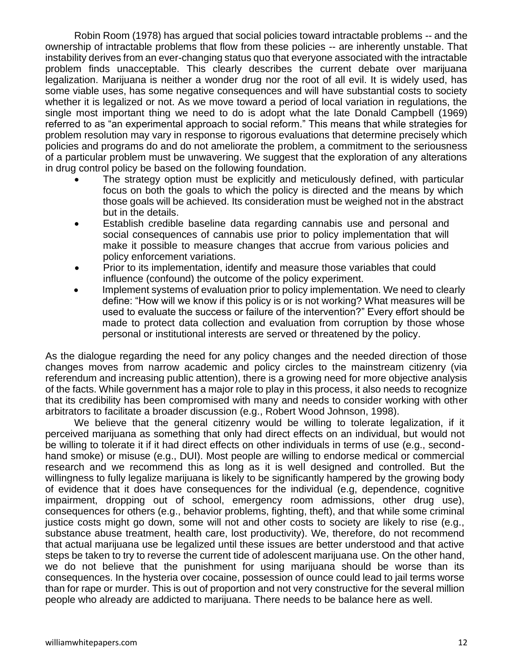Robin Room (1978) has argued that social policies toward intractable problems -- and the ownership of intractable problems that flow from these policies -- are inherently unstable. That instability derives from an ever-changing status quo that everyone associated with the intractable problem finds unacceptable. This clearly describes the current debate over marijuana legalization. Marijuana is neither a wonder drug nor the root of all evil. It is widely used, has some viable uses, has some negative consequences and will have substantial costs to society whether it is legalized or not. As we move toward a period of local variation in regulations, the single most important thing we need to do is adopt what the late Donald Campbell (1969) referred to as "an experimental approach to social reform." This means that while strategies for problem resolution may vary in response to rigorous evaluations that determine precisely which policies and programs do and do not ameliorate the problem, a commitment to the seriousness of a particular problem must be unwavering. We suggest that the exploration of any alterations in drug control policy be based on the following foundation.

- The strategy option must be explicitly and meticulously defined, with particular focus on both the goals to which the policy is directed and the means by which those goals will be achieved. Its consideration must be weighed not in the abstract but in the details.
- Establish credible baseline data regarding cannabis use and personal and social consequences of cannabis use prior to policy implementation that will make it possible to measure changes that accrue from various policies and policy enforcement variations.
- Prior to its implementation, identify and measure those variables that could influence (confound) the outcome of the policy experiment.
- Implement systems of evaluation prior to policy implementation. We need to clearly define: "How will we know if this policy is or is not working? What measures will be used to evaluate the success or failure of the intervention?" Every effort should be made to protect data collection and evaluation from corruption by those whose personal or institutional interests are served or threatened by the policy.

As the dialogue regarding the need for any policy changes and the needed direction of those changes moves from narrow academic and policy circles to the mainstream citizenry (via referendum and increasing public attention), there is a growing need for more objective analysis of the facts. While government has a major role to play in this process, it also needs to recognize that its credibility has been compromised with many and needs to consider working with other arbitrators to facilitate a broader discussion (e.g., Robert Wood Johnson, 1998).

We believe that the general citizenry would be willing to tolerate legalization, if it perceived marijuana as something that only had direct effects on an individual, but would not be willing to tolerate it if it had direct effects on other individuals in terms of use (e.g., secondhand smoke) or misuse (e.g., DUI). Most people are willing to endorse medical or commercial research and we recommend this as long as it is well designed and controlled. But the willingness to fully legalize marijuana is likely to be significantly hampered by the growing body of evidence that it does have consequences for the individual (e.g, dependence, cognitive impairment, dropping out of school, emergency room admissions, other drug use), consequences for others (e.g., behavior problems, fighting, theft), and that while some criminal justice costs might go down, some will not and other costs to society are likely to rise (e.g., substance abuse treatment, health care, lost productivity). We, therefore, do not recommend that actual marijuana use be legalized until these issues are better understood and that active steps be taken to try to reverse the current tide of adolescent marijuana use. On the other hand, we do not believe that the punishment for using marijuana should be worse than its consequences. In the hysteria over cocaine, possession of ounce could lead to jail terms worse than for rape or murder. This is out of proportion and not very constructive for the several million people who already are addicted to marijuana. There needs to be balance here as well.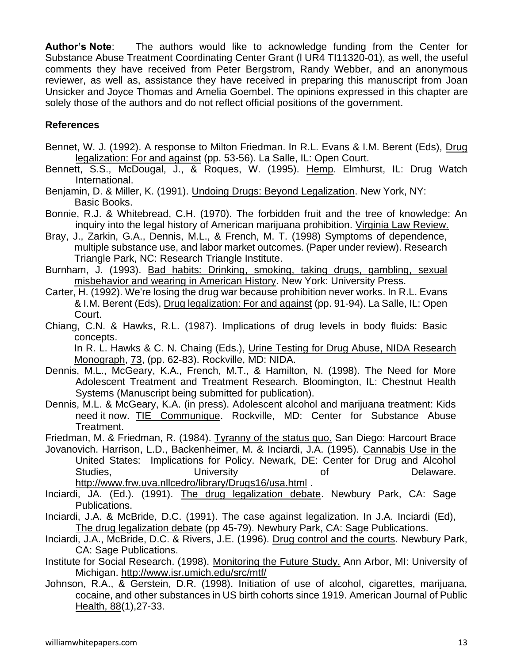**Author's Note**: The authors would like to acknowledge funding from the Center for Substance Abuse Treatment Coordinating Center Grant (l UR4 TI11320-01), as well, the useful comments they have received from Peter Bergstrom, Randy Webber, and an anonymous reviewer, as well as, assistance they have received in preparing this manuscript from Joan Unsicker and Joyce Thomas and Amelia Goembel. The opinions expressed in this chapter are solely those of the authors and do not reflect official positions of the government.

#### **References**

- Bennet, W. J. (1992). A response to Milton Friedman. In R.L. Evans & I.M. Berent (Eds), Drug legalization: For and against (pp. 53-56). La Salle, IL: Open Court.
- Bennett, S.S., McDougal, J., & Roques, W. (1995). Hemp. Elmhurst, IL: Drug Watch International.
- Benjamin, D. & Miller, K. (1991). Undoing Drugs: Beyond Legalization. New York, NY: Basic Books.
- Bonnie, R.J. & Whitebread, C.H. (1970). The forbidden fruit and the tree of knowledge: An inquiry into the legal history of American marijuana prohibition. Virginia Law Review.
- Bray, J., Zarkin, G.A., Dennis, M.L., & French, M. T. (1998) Symptoms of dependence, multiple substance use, and labor market outcomes. (Paper under review). Research Triangle Park, NC: Research Triangle Institute.
- Burnham, J. (1993). Bad habits: Drinking, smoking, taking drugs, gambling, sexual misbehavior and wearing in American History. New York: University Press.
- Carter, H. (1992). We're losing the drug war because prohibition never works. In R.L. Evans & I.M. Berent (Eds), Drug legalization: For and against (pp. 91-94). La Salle, IL: Open Court.
- Chiang, C.N. & Hawks, R.L. (1987). Implications of drug levels in body fluids: Basic concepts.

In R. L. Hawks & C. N. Chaing (Eds.), Urine Testing for Drug Abuse, NIDA Research Monograph, 73, (pp. 62-83). Rockville, MD: NIDA.

- Dennis, M.L., McGeary, K.A., French, M.T., & Hamilton, N. (1998). The Need for More Adolescent Treatment and Treatment Research. Bloomington, IL: Chestnut Health Systems (Manuscript being submitted for publication).
- Dennis, M.L. & McGeary, K.A. (in press). Adolescent alcohol and marijuana treatment: Kids need it now. TIE Communique. Rockville, MD: Center for Substance Abuse Treatment.

Friedman, M. & Friedman, R. (1984). Tyranny of the status quo. San Diego: Harcourt Brace

Jovanovich. Harrison, L.D., Backenheimer, M. & Inciardi, J.A. (1995). Cannabis Use in the United States: Implications for Policy. Newark, DE: Center for Drug and Alcohol Studies, Subsettle University and Office of Delaware. <http://www.frw.uva.nllcedro/library/Drugs16/usa.html> .

- Inciardi, JA. (Ed.). (1991). The drug legalization debate. Newbury Park, CA: Sage Publications.
- Inciardi, J.A. & McBride, D.C. (1991). The case against legalization. In J.A. Inciardi (Ed), The drug legalization debate (pp 45-79). Newbury Park, CA: Sage Publications.
- Inciardi, J.A., McBride, D.C. & Rivers, J.E. (1996). Drug control and the courts. Newbury Park, CA: Sage Publications.
- Institute for Social Research. (1998). Monitoring the Future Study. Ann Arbor, MI: University of Michigan.<http://www.isr.umich.edu/src/mtf/>
- Johnson, R.A., & Gerstein, D.R. (1998). Initiation of use of alcohol, cigarettes, marijuana, cocaine, and other substances in US birth cohorts since 1919. American Journal of Public Health, 88(1),27-33.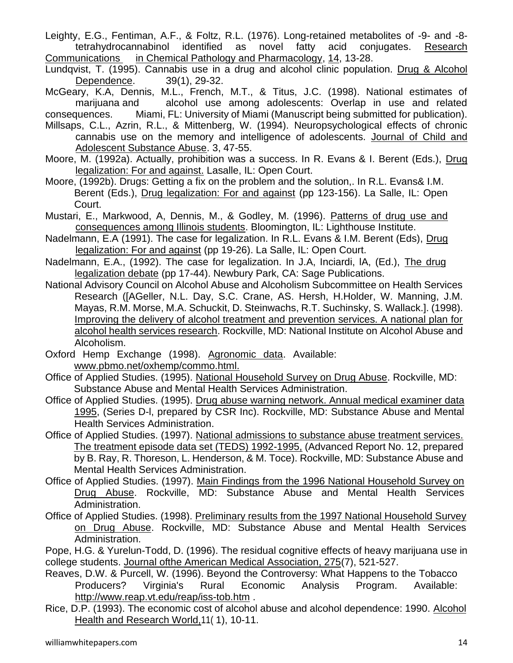- Leighty, E.G., Fentiman, A.F., & Foltz, R.L. (1976). Long-retained metabolites of -9- and -8 tetrahydrocannabinol identified as novel fatty acid conjugates. Research Communications in Chemical Pathology and Pharmacology, 14, 13-28.
- Lundqvist, T. (1995). Cannabis use in a drug and alcohol clinic population. Drug & Alcohol Dependence. 39(1), 29-32.
- McGeary, K.A, Dennis, M.L., French, M.T., & Titus, J.C. (1998). National estimates of marijuana and alcohol use among adolescents: Overlap in use and related
- consequences. Miami, FL: University of Miami (Manuscript being submitted for publication). Millsaps, C.L., Azrin, R.L., & Mittenberg, W. (1994). Neuropsychological effects of chronic cannabis use on the memory and intelligence of adolescents. Journal of Child and Adolescent Substance Abuse. 3, 47-55.
- Moore, M. (1992a). Actually, prohibition was a success. In R. Evans & I. Berent (Eds.), Drug legalization: For and against. Lasalle, IL: Open Court.
- Moore, (1992b). Drugs: Getting a fix on the problem and the solution,. In R.L. Evans& I.M. Berent (Eds.), Drug legalization: For and against (pp 123-156). La Salle, IL: Open Court.
- Mustari, E., Markwood, A, Dennis, M., & Godley, M. (1996). Patterns of drug use and consequences among Illinois students. Bloomington, IL: Lighthouse Institute.
- Nadelmann, E.A (1991). The case for legalization. In R.L. Evans & I.M. Berent (Eds), Drug legalization: For and against (pp 19-26). La Salle, IL: Open Court.
- Nadelmann, E.A., (1992). The case for legalization. In J.A, Inciardi, lA, (Ed.), The drug legalization debate (pp 17-44). Newbury Park, CA: Sage Publications.
- National Advisory Council on Alcohol Abuse and Alcoholism Subcommittee on Health Services Research ([AGeller, N.L. Day, S.C. Crane, AS. Hersh, H.Holder, W. Manning, J.M. Mayas, R.M. Morse, M.A. Schuckit, D. Steinwachs, R.T. Suchinsky, S. Wallack.]. (1998). Improving the delivery of alcohol treatment and prevention services. A national plan for alcohol health services research. Rockville, MD: National Institute on Alcohol Abuse and Alcoholism.
- Oxford Hemp Exchange (1998). Agronomic data. Available: [www.pbmo.net/oxhemp/commo.html.](http://www.pbmo.net/oxhemp/commo.html.)
- Office of Applied Studies. (1995). National Household Survey on Drug Abuse. Rockville, MD: Substance Abuse and Mental Health Services Administration.
- Office of Applied Studies. (1995). Drug abuse warning network. Annual medical examiner data 1995, (Series D-l, prepared by CSR Inc). Rockville, MD: Substance Abuse and Mental Health Services Administration.
- Office of Applied Studies. (1997). National admissions to substance abuse treatment services. The treatment episode data set (TEDS) 1992-1995, (Advanced Report No. 12, prepared by B. Ray, R. Thoreson, L. Henderson, & M. Toce). Rockville, MD: Substance Abuse and Mental Health Services Administration.
- Office of Applied Studies. (1997). Main Findings from the 1996 National Household Survey on Drug Abuse. Rockville, MD: Substance Abuse and Mental Health Services Administration.
- Office of Applied Studies. (1998). Preliminary results from the 1997 National Household Survey on Drug Abuse. Rockville, MD: Substance Abuse and Mental Health Services Administration.

Pope, H.G. & Yurelun-Todd, D. (1996). The residual cognitive effects of heavy marijuana use in college students. Journal ofthe American Medical Association, 275(7), 521-527.

- Reaves, D.W. & Purcell, W. (1996). Beyond the Controversy: What Happens to the Tobacco Producers? Virginia's Rural Economic Analysis Program. Available: <http://www.reap.vt.edu/reap/iss-tob.htm> .
- Rice, D.P. (1993). The economic cost of alcohol abuse and alcohol dependence: 1990. Alcohol Health and Research World,11( 1), 10-11.